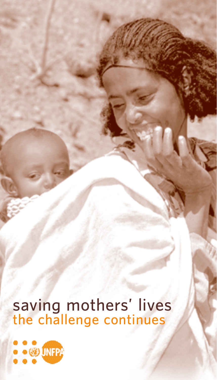# saving mothers' lives<br>the challenge continues

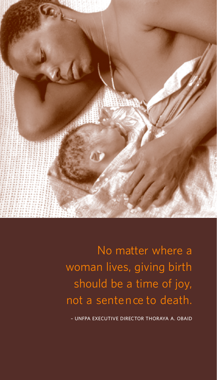

No matter where a woman lives, giving birth should be a time of joy, not a sentence to death.

- UNFPA EXECUTIVE DIRECTOR THORAYA A. OBAID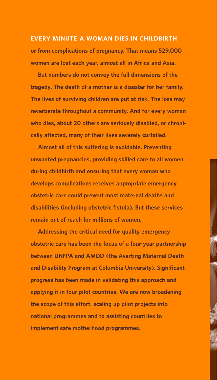**E V E RY MINUTE A WOMAN DIES IN CHILDBIRT H or from complications of pregnancy. That means 529,000 women are lost each year, almost all in Africa and Asia.** 

**But numbers do not convey the full dimensions of the tragedy. The death of a mother is a disaster for her family. The lives of surviving children are put at risk. The loss may reverberate throughout a community. And for every woman who dies, about 20 others are seriously disabled, or chronically affected, many of their lives severely curtailed.** 

**Almost all of this suffering is avoidable. Preventing unwanted pregnancies, providing skilled care to all women during childbirth and ensuring that every woman who develops complications receives appropriate emergency obstetric care could prevent most maternal deaths and disabilities (including obstetric fistula). But these services remain out of reach for millions of women.** 

**Addressing the critical need for quality emergency obstetric care has been the focus of a four-year partnership between UNFPA and AMDD (the Averting Maternal Death and Disability Program at Columbia University). Significant progress has been made in validating this approach and applying it in four pilot countries. We are now broadening the scope of this effort, scaling up pilot projects into national programmes and to assisting countries to implement safe motherhood programmes.**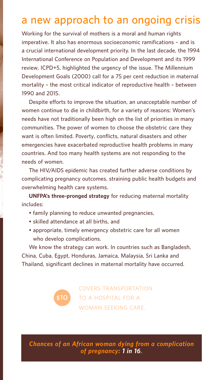# **a new approach to an ongoing crisis**

**Working for the survival of mothers is a moral and human rights imperative. It also has enormous socioeconomic ramifications – and is a crucial international development priority. In the last decade, the 1994 International Conference on Population and Development and its 1999 review, ICPD+5, highlighted the urgency of the issue. The Millennium Development Goals (2000) call for a 75 per cent reduction in maternal mortality – the most critical indicator of reproductive health – between 1990 and 2015.** 

**Despite efforts to improve the situation, an unacceptable number of women continue to die in childbirth, for a variety of reasons: Women's needs have not traditionally been high on the list of priorities in many communities. The power of women to choose the obstetric care they want is often limited. Poverty, conflicts, natural disasters and other emergencies have exacerbated reproductive health problems in many countries. And too many health systems are not responding to the needs of women.** 

**The HIV/AIDS epidemic has created further adverse conditions by complicating pregnancy outcomes, straining public health budgets and overwhelming health care systems.** 

**UNFPA's three-pronged strategy for reducing maternal mortality includes:** 

- **family planning to reduce unwanted pregnancies,**
- **skilled attendance at all births, and**

**\$10**

**• appropriate, timely emergency obstetric care for all women who develop complications.** 

**We know the strategy can work. In countries such as Bangladesh, China, Cuba, Egypt, Honduras, Jamaica, Malaysia, Sri Lanka and Thailand, significant declines in maternal mortality have occurred.** 

> covers transportation to a hospital for a woman seeking care.

*C h a n ces of an African woman dying from a complication of pregnancy: 1 in 16.*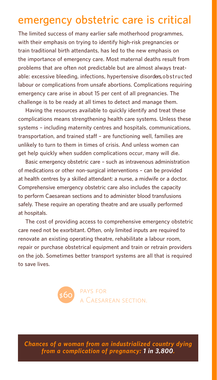## **emergency obstetric care is critical**

**The limited success of many earlier safe motherhood programmes, with their emphasis on trying to identify high-risk pregnancies or train traditional birth attendants, has led to the new emphasis on the importance of emergency care. Most maternal deaths result from problems that are often not predictable but are almost always treat**able: excessive bleeding, infections, hypertensive disorders, obstructed **labour or complications from unsafe abortions. Complications requiring emergency care arise in about 15 per cent of all pregnancies. The challenge is to be ready at all times to detect and manage them.**

**Having the resources available to quickly identify and treat these complications means strengthening health care systems. Unless these systems – including maternity centres and hospitals, communications, transportation, and trained staff – are functioning well, families are unlikely to turn to them in times of crisis. And unless women can get help quickly when sudden complications occur, many will die.** 

**Basic emergency obstetric care – such as intravenous administration of medications or other non-surgical interventions – can be provided** at health centres by a skilled attendant: a nurse, a midwife or a doctor. **Comprehensive emergency obstetric care also includes the capacity to perform Caesarean sections and to administer blood transfusions safely.** These require an operating theatre and are usually performed **at hospitals.**

**The cost of providing access to comprehensive emergency obstetric care need not be exorbitant. Often, only limited inputs are required to renovate an existing operating theatre, rehabilitate a labour room, repair or purchase obstetrical equipment and train or retrain providers on the job. Sometimes better transport systems are all that is required to save lives.**



*C h a n ces of a woman from an industrialized country dying f rom a complication of pregnancy: 1 in 3,800.*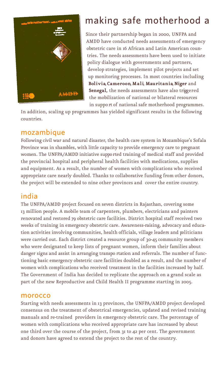

# **making safe motherhood a**

Since their partnership began in 2000, UNFPA and AMDD have conducted needs assessments of emergency obstetric care in 16 African and Latin American countries. The needs assessments have been used to initiate policy dialogue with governments and partners, develop strategies, implement pilot projects and set up monitoring processes. In most countries including Bolivia, Cameroon, Mali, Mauritania, Niger and Senegal, the needs assessments have also triggered the mobilization of national or bilateral resources in suppo rt of national safe motherhood programmes.

In addition, scaling up programmes has yielded significant results in the following countries.

#### **m oza m b i q u e**

Following civil war and natural disaster, the health care system in Mozambique's Sofala Province was in shambles, with little capacity to provide emergency care to pregnant women. The UNFPA/AMDD initiative suppo rted training of medical staff and provided the provincial hospital and peripheral health facilities with medications, supplies and equipment. As a result, the number of women with complications who received appropriate care nearly doubled. Thanks to collaborative funding from other donors, the project will be extended to nine other provinces and cover the entire country.

#### **i n d i a**

The UNFPA/AMDD project focused on seven districts in Rajasthan, covering some 13 million people. A mobile team of carpenters, plumbers, electricians and painters renovated and restored 79 obstetric care facilities. District hospital staff received two weeks of training in emergency obstetric care. Awareness-raising, advocacy and education activities involving communities, health officials, village leaders and politicians were carried out. Each district created a resource group of 30-45 community members who were designated to keep lists of pregnant women, inform their families about danger signs and assist in arranging transpo rtation and referrals. The number of functioning basic emergency obstetric care facilities doubled as a result, and the number of women with complications who received treatment in the facilities increased by half. The Government of India has decided to replicate the approach on a grand scale as part of the new Reproductive and Child Health II programme starting in 2005.

#### **m o ro cco**

Starting with needs assessments in 13 provinces, the UNFPA/AMDD project developed consensus on the treatment of obstetrical emergencies, updated and revised training manuals and re-trained providers in emergency obstetric care. The percentage of women with complications who received appropriate care has increased by about one third over the course of the project, from 31 to 42 per cent. The government and donors have agreed to extend the project to the rest of the country.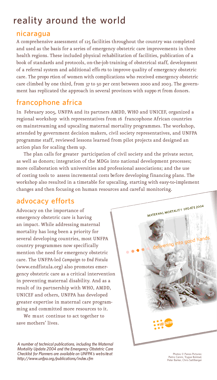## **reality around the world**

#### **n i c a ra g u a**

A comprehensive assessment of 125 facilities throughout the country was completed and used as the basis for a series of emergency obstetric care improvements in three health regions. These included physical rehabilitation of facilities, publication of a book of standards and protocols, on-the-job training of obstetrical staff, development of a referral system and additional effo rts to improve quality of emergency obstetric care. The propo rtion of women with complications who received emergency obstetric care climbed by one third, from 37 to 50 per cent between 2000 and 2003. The government has replicated the approach in several provinces with suppo rt from donors.

### **f ra n cophone africa**

In February 2005, UNFPA and its partners AMDD, WHO and UNICEF, organized a regional workshop with representatives from 16 francophone African countries on mainstreaming and upscaling maternal mortality programmes. The workshop, attended by government decision makers, civil society representatives, and UNFPA programme staff, reviewed lessons learned from pilot projects and designed an action plan for scaling them up.

The plan calls for greater participation of civil society and the private sector, as well as donors; integration of the MDGs into national development processes; more collaboration with universities and professional associations; and the use of costing tools to assess incremental costs be fore developing financing plans. The workshop also resulted in a timetable for upscaling, starting with easy-to-implement changes and then focusing on human resources and careful monitoring.

#### **a d vocacy effo rt s**

Advocacy on the importance of emergency obstetric care is having an impact. While addressing maternal mortality has long been a priority for several developing countries, most UNFPA country programmes now specifically mention the need for emergency obstetric care. The UNFPA-led *Campaign to End Fistula* (www.endfistula.org) also promotes emergency obstetric care as a critical intervention in preventing maternal disability. And as a result of its partnership with WHO, AMDD, UNICEF and others, UNFPA has developed greater expertise in maternal care programming and committed more resources to it.

We must continue to act together to save mothers' lives.

A number of technical publications, including the Maternal *Mortality Update 2004 and the Emergency Obstetric Care Checklist for Planners are available on UNFPA's websiteat h t t p : / /w w w. u n f p a .o rg/p u b l i c a t i o n s /i n d ex .c f m*



Photos © Panos Pictures: Pietro Cenini, Trygve Bolstad, Peter Barker, Chris Sattlberger